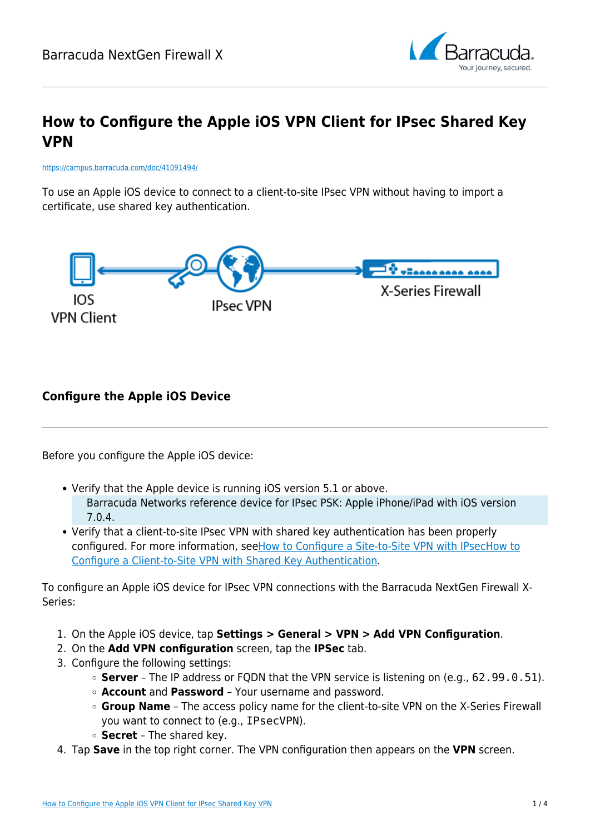

# **How to Configure the Apple iOS VPN Client for IPsec Shared Key VPN**

<https://campus.barracuda.com/doc/41091494/>

To use an Apple iOS device to connect to a client-to-site IPsec VPN without having to import a certificate, use shared key authentication.



### **Configure the Apple iOS Device**

Before you configure the Apple iOS device:

- Verify that the Apple device is running iOS version 5.1 or above. Barracuda Networks reference device for IPsec PSK: Apple iPhone/iPad with iOS version 7.0.4.
- Verify that a client-to-site IPsec VPN with shared key authentication has been properly configured. For more information, see[How to Configure a Site-to-Site VPN with IPsec](#page--1-0)[How to](http://campus.barracuda.com/doc/41091322/) [Configure a Client-to-Site VPN with Shared Key Authentication.](http://campus.barracuda.com/doc/41091322/)

To configure an Apple iOS device for IPsec VPN connections with the Barracuda NextGen Firewall X-Series:

- 1. On the Apple iOS device, tap **Settings > General > VPN > Add VPN Configuration**.
- 2. On the **Add VPN configuration** screen, tap the **IPSec** tab.
- 3. Configure the following settings:
	- **Server** The IP address or FQDN that the VPN service is listening on (e.g., 62.99.0.51).
	- **Account** and **Password** Your username and password.
	- **Group Name** The access policy name for the client-to-site VPN on the X-Series Firewall you want to connect to (e.g., IPsecVPN).
	- **Secret** The shared key.
- 4. Tap **Save** in the top right corner. The VPN configuration then appears on the **VPN** screen.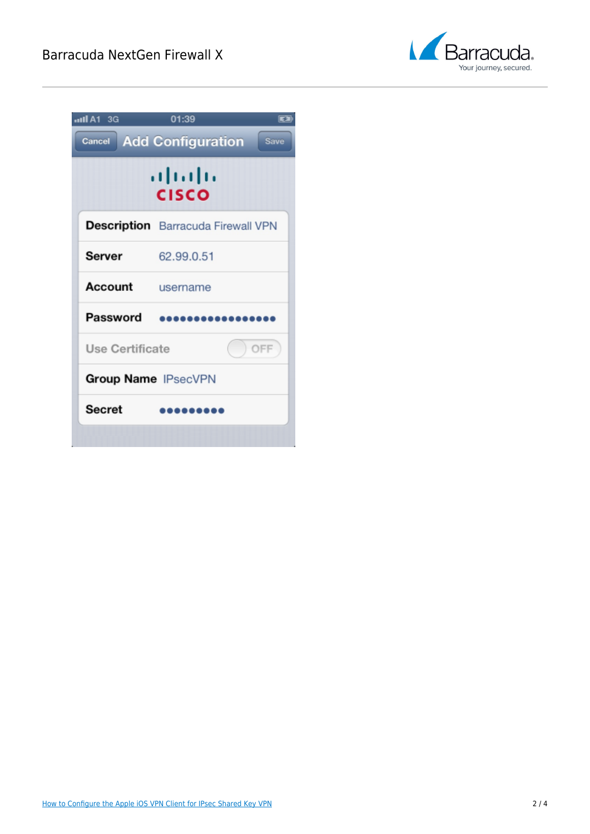

| allA1 3G<br><b>Cancel</b>  | 01:39<br><b>Add Configuration</b><br><b>Save</b> |
|----------------------------|--------------------------------------------------|
|                            | almlı<br>CISCO                                   |
|                            | <b>Description</b> Barracuda Firewall VPN        |
| <b>Server</b>              | 62.99.0.51                                       |
| Account                    | username                                         |
| Password                   |                                                  |
| Use Certificate<br>OFF     |                                                  |
| <b>Group Name IPsecVPN</b> |                                                  |
| <b>Secret</b>              |                                                  |
|                            |                                                  |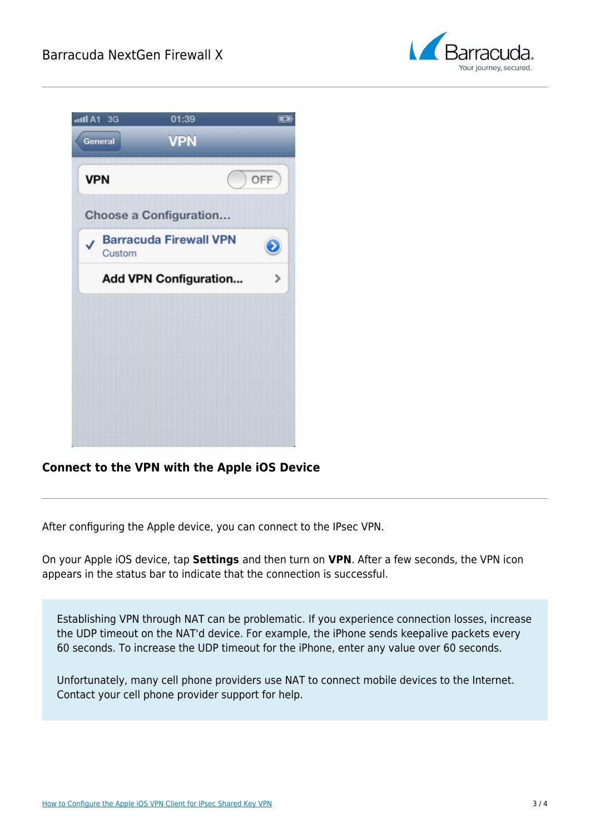

| aul A1 3G  | 01:39                         |     |
|------------|-------------------------------|-----|
| General    | <b>VPN</b>                    |     |
| <b>VPN</b> |                               | OFF |
|            | Choose a Configuration        |     |
| Custom     | <b>Barracuda Firewall VPN</b> |     |
|            | <b>Add VPN Configuration</b>  |     |
|            |                               |     |
|            |                               |     |
|            |                               |     |
|            |                               |     |
|            |                               |     |
|            |                               |     |

### **Connect to the VPN with the Apple iOS Device**

After configuring the Apple device, you can connect to the IPsec VPN.

On your Apple iOS device, tap **Settings** and then turn on **VPN**. After a few seconds, the VPN icon appears in the status bar to indicate that the connection is successful.

Establishing VPN through NAT can be problematic. If you experience connection losses, increase the UDP timeout on the NAT'd device. For example, the iPhone sends keepalive packets every 60 seconds. To increase the UDP timeout for the iPhone, enter any value over 60 seconds.

Unfortunately, many cell phone providers use NAT to connect mobile devices to the Internet. Contact your cell phone provider support for help.